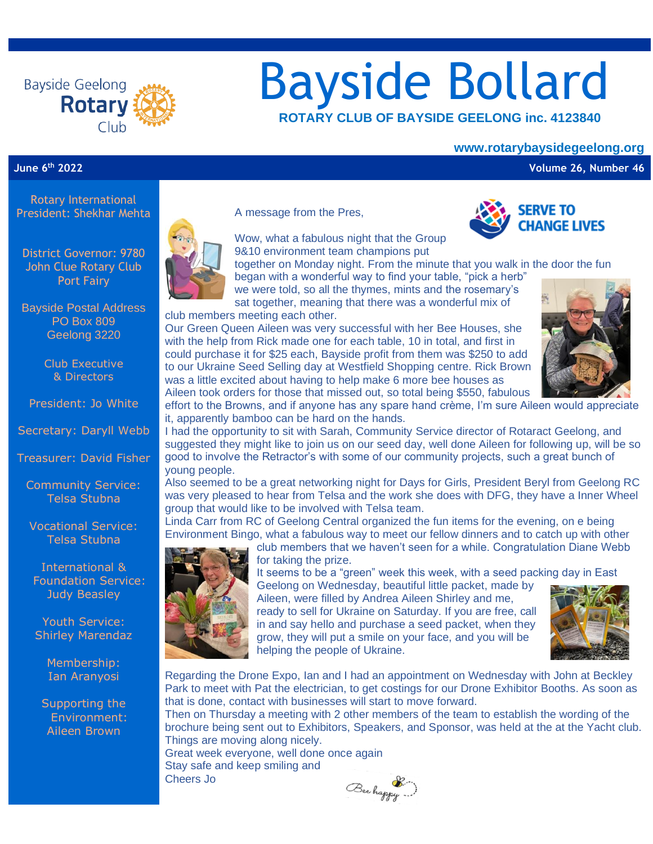

# Bayside Bollard  **ROTARY CLUB OF BAYSIDE GEELONG inc. <sup>4123840</sup>**

#### **www.rotarybaysidegeelong.org**

**June 6th 2022 Volume 26, Number 46**

Rotary International President: Shekhar Mehta

District Governor: 9780 John Clue Rotary Club Port Fairy

Bayside Postal Address PO Box 809 Geelong 3220

> Club Executive & Directors

President: Jo White

Secretary: Daryll Webb

Treasurer: David Fisher

Community Service: Telsa Stubna

Vocational Service: Telsa Stubna

International & Foundation Service: Judy Beasley

Youth Service: Shirley Marendaz

> Membership: Ian Aranyosi

Supporting the Environment: Aileen Brown



A message from the Pres,

Wow, what a fabulous night that the Group



9&10 environment team champions put

together on Monday night. From the minute that you walk in the door the fun began with a wonderful way to find your table, "pick a herb"

we were told, so all the thymes, mints and the rosemary's sat together, meaning that there was a wonderful mix of club members meeting each other.

Our Green Queen Aileen was very successful with her Bee Houses, she with the help from Rick made one for each table, 10 in total, and first in could purchase it for \$25 each, Bayside profit from them was \$250 to add to our Ukraine Seed Selling day at Westfield Shopping centre. Rick Brown was a little excited about having to help make 6 more bee houses as Aileen took orders for those that missed out, so total being \$550, fabulous



effort to the Browns, and if anyone has any spare hand crème, I'm sure Aileen would appreciate it, apparently bamboo can be hard on the hands.

I had the opportunity to sit with Sarah, Community Service director of Rotaract Geelong, and suggested they might like to join us on our seed day, well done Aileen for following up, will be so good to involve the Retractor's with some of our community projects, such a great bunch of young people.

Also seemed to be a great networking night for Days for Girls, President Beryl from Geelong RC was very pleased to hear from Telsa and the work she does with DFG, they have a Inner Wheel group that would like to be involved with Telsa team.

Linda Carr from RC of Geelong Central organized the fun items for the evening, on e being Environment Bingo, what a fabulous way to meet our fellow dinners and to catch up with other



club members that we haven't seen for a while. Congratulation Diane Webb for taking the prize.

It seems to be a "green" week this week, with a seed packing day in East

Geelong on Wednesday, beautiful little packet, made by Aileen, were filled by Andrea Aileen Shirley and me,

ready to sell for Ukraine on Saturday. If you are free, call in and say hello and purchase a seed packet, when they grow, they will put a smile on your face, and you will be helping the people of Ukraine.



Regarding the Drone Expo, Ian and I had an appointment on Wednesday with John at Beckley Park to meet with Pat the electrician, to get costings for our Drone Exhibitor Booths. As soon as that is done, contact with businesses will start to move forward.

Then on Thursday a meeting with 2 other members of the team to establish the wording of the brochure being sent out to Exhibitors, Speakers, and Sponsor, was held at the at the Yacht club. Things are moving along nicely.

Great week everyone, well done once again Stay safe and keep smiling and Cheers Jo

Beechappy ...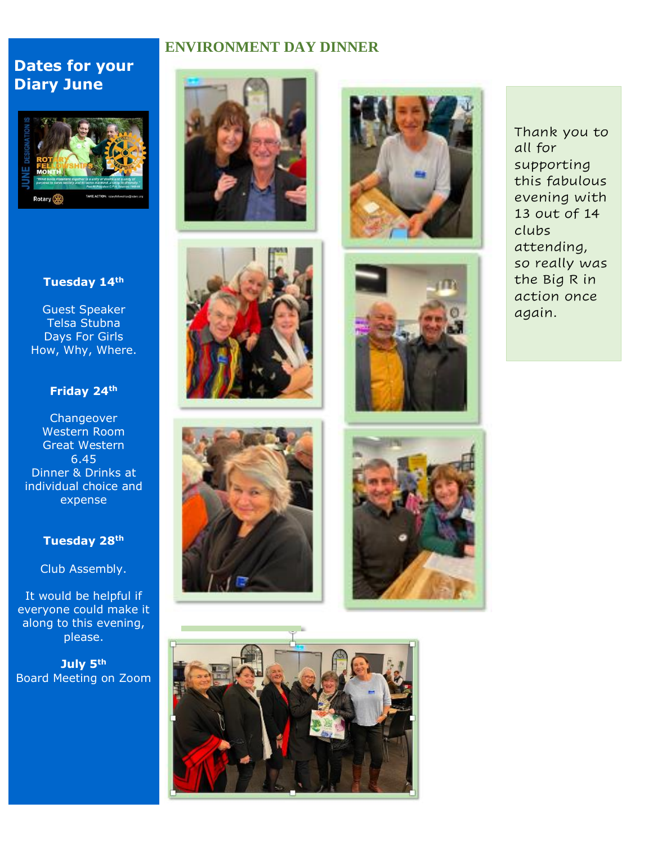# **ENVIRONMENT DAY DINNER**

# **Dates for your Diary June**



## **Tuesday 14th**

Guest Speaker Telsa Stubna Days For Girls How, Why, Where.

# **Friday 24th**

**Changeover** Western Room Great Western 6.45 Dinner & Drinks at individual choice and expense

#### **Tuesday 28th**

Club Assembly.

It would be helpful if everyone could make it along to this evening, please.

**July 5th** Board Meeting on Zoom















Thank you to all for supporting this fabulous evening with 13 out of 14 clubs attending, so really was the Big R in action once again.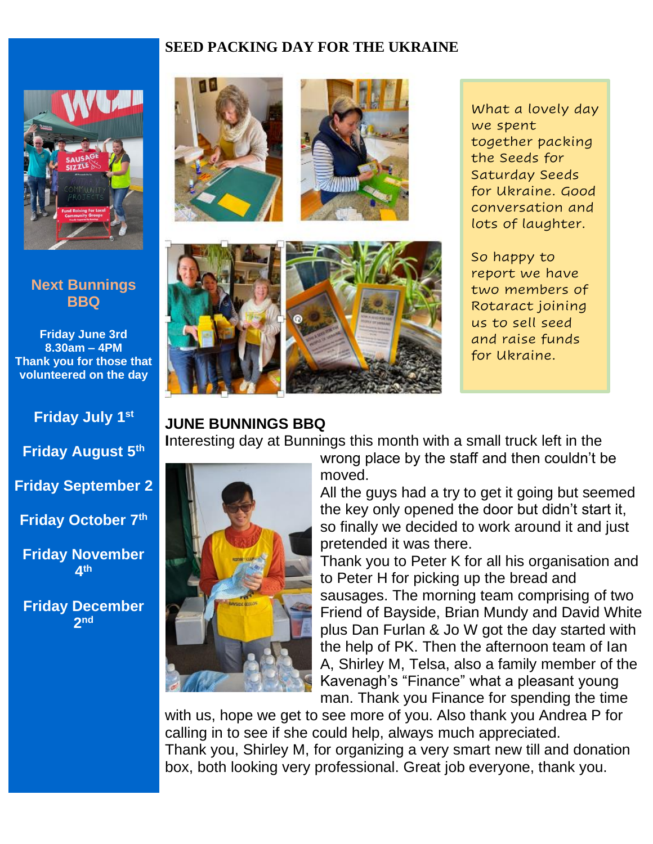# **SEED PACKING DAY FOR THE UKRAINE**



# **Next Bunnings BBQ**

**Friday June 3rd 8.30am – 4PM Thank you for those that volunteered on the day** 

# **Friday July 1st**

**Friday August 5th**

**Friday September 2**

**Friday October 7th**

**Friday November 4 th**

**Friday December 2 nd**





# **JUNE BUNNINGS BBQ**

**I**nteresting day at Bunnings this month with a small truck left in the



wrong place by the staff and then couldn't be moved.

All the guys had a try to get it going but seemed the key only opened the door but didn't start it, so finally we decided to work around it and just pretended it was there.

Thank you to Peter K for all his organisation and to Peter H for picking up the bread and sausages. The morning team comprising of two Friend of Bayside, Brian Mundy and David White plus Dan Furlan & Jo W got the day started with the help of PK. Then the afternoon team of Ian A, Shirley M, Telsa, also a family member of the Kavenagh's "Finance" what a pleasant young man. Thank you Finance for spending the time

with us, hope we get to see more of you. Also thank you Andrea P for calling in to see if she could help, always much appreciated. Thank you, Shirley M, for organizing a very smart new till and donation box, both looking very professional. Great job everyone, thank you.

What a lovely day we spent together packing the Seeds for Saturday Seeds for Ukraine. Good conversation and lots of laughter.

So happy to report we have two members of Rotaract joining us to sell seed and raise funds for Ukraine.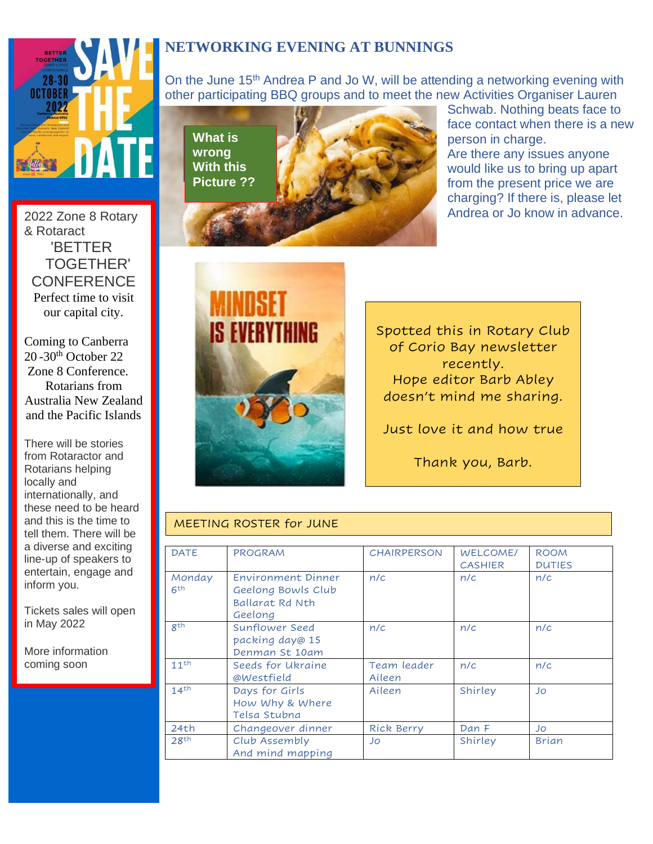

2022 Zone 8 Rotary & Rotaract 'BETTER TOGETHER' **CONFERENCE** Perfect time to visit our capital city.

w

Coming to Canberra 20 -30th October 22 Zone 8 Conference. Rotarians from Australia New Zealand and the Pacific Islands

There will be stories from Rotaractor and Rotarians helping locally and internationally, and these need to be heard and this is the time to tell them. There will be a diverse and exciting line-up of speakers to entertain, engage and inform you.

Tickets sales will open in May 2022

More information coming soon

# **NETWORKING EVENING AT BUNNINGS**

On the June 15<sup>th</sup> Andrea P and Jo W, will be attending a networking evening with other participating BBQ groups and to meet the new Activities Organiser Lauren

**What is** wrong **With this Picture ??** 



Schwab. Nothing beats face to face contact when there is a new person in charge. Are there any issues anyone would like us to bring up apart from the present price we are charging? If there is, please let

Andrea or Jo know in advance.



Spotted this in Rotary Club of Corio Bay newsletter recently. Hope editor Barb Abley doesn't mind me sharing.

Just love it and how true

Thank you, Barb.

## MEETING ROSTER for JUNE

| <b>DATE</b>      | <b>PROGRAM</b>         | <b>CHAIRPERSON</b> | <b>WELCOME/</b> | <b>ROOM</b>   |
|------------------|------------------------|--------------------|-----------------|---------------|
|                  |                        |                    | <b>CASHIER</b>  | <b>DUTIES</b> |
| Monday           | Environment Dinner     | n/c                | n/c             | n/c           |
| 6 <sup>th</sup>  | Geelong Bowls Club     |                    |                 |               |
|                  | <b>Ballarat Rd Nth</b> |                    |                 |               |
|                  | Geelong                |                    |                 |               |
| gth              | Sunflower Seed         | n/c                | n/c             | n/c           |
|                  | packing day@ 15        |                    |                 |               |
|                  | Denman St 10am         |                    |                 |               |
| 11 <sup>th</sup> | Seeds for Ukraine      | Team leader        | n/c             | n/c           |
|                  | @Westfield             | Aileen             |                 |               |
| 14 <sup>th</sup> | Days for Girls         | Aileen             | Shirley         | Jo            |
|                  | How Why & Where        |                    |                 |               |
|                  | Telsa Stubna           |                    |                 |               |
| 24th             | Changeover dinner      | Rick Berry         | Dan F           | Jo            |
| 28 <sup>th</sup> | Club Assembly          | Jo                 | Shirley         | <b>Brian</b>  |
|                  | And mind mapping       |                    |                 |               |